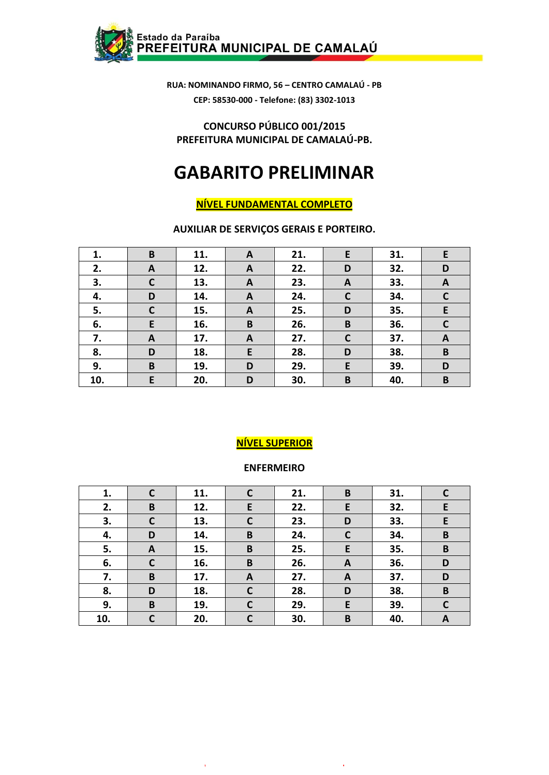

**CONCURSO PÚBLICO 001/2015 PREFEITURA MUNICIPAL DE CAMALAÚ-PB.**

# **GABARITO PRELIMINAR**

# **NÍVEL FUNDAMENTAL COMPLETO**

**AUXILIAR DE SERVIÇOS GERAIS E PORTEIRO.**

| 1.  | B            | 11. | A | 21. | E            | 31. | E           |
|-----|--------------|-----|---|-----|--------------|-----|-------------|
| 2.  | A            | 12. | A | 22. | D            | 32. | D           |
| 3.  | $\mathbf C$  | 13. | A | 23. | $\mathbf{A}$ | 33. | A           |
| 4.  | D            | 14. | A | 24. | $\mathsf{C}$ | 34. | $\mathbf C$ |
| 5.  | $\mathsf{C}$ | 15. | A | 25. | D            | 35. | E           |
| 6.  | E            | 16. | B | 26. | B            | 36. | $\mathbf c$ |
| 7.  | $\mathbf{A}$ | 17. | A | 27. | $\mathsf{C}$ | 37. | A           |
| 8.  | D            | 18. | E | 28. | D            | 38. | B           |
| 9.  | B            | 19. | D | 29. | E            | 39. | D           |
| 10. | E            | 20. | D | 30. | B            | 40. | B           |

# **NÍVEL SUPERIOR**

#### **ENFERMEIRO**

| 1.  | C            | 11. | $\mathsf{C}$ | 21. | B            | 31. | C            |
|-----|--------------|-----|--------------|-----|--------------|-----|--------------|
| 2.  | B            | 12. | E            | 22. | E            | 32. | E            |
| 3.  | $\mathbf C$  | 13. | $\mathbf C$  | 23. | D            | 33. | E            |
| 4.  | D            | 14. | B            | 24. | C            | 34. | B            |
| 5.  | A            | 15. | B            | 25. | E            | 35. | B            |
| 6.  | $\mathsf{C}$ | 16. | B            | 26. | A            | 36. | D            |
| 7.  | B            | 17. | A            | 27. | $\mathbf{A}$ | 37. | D            |
| 8.  | D            | 18. | $\mathsf{C}$ | 28. | D            | 38. | $\, {\bf B}$ |
| 9.  | B            | 19. | $\mathbf{C}$ | 29. | E            | 39. | C            |
| 10. | C            | 20. | $\mathsf{C}$ | 30. | B            | 40. | A            |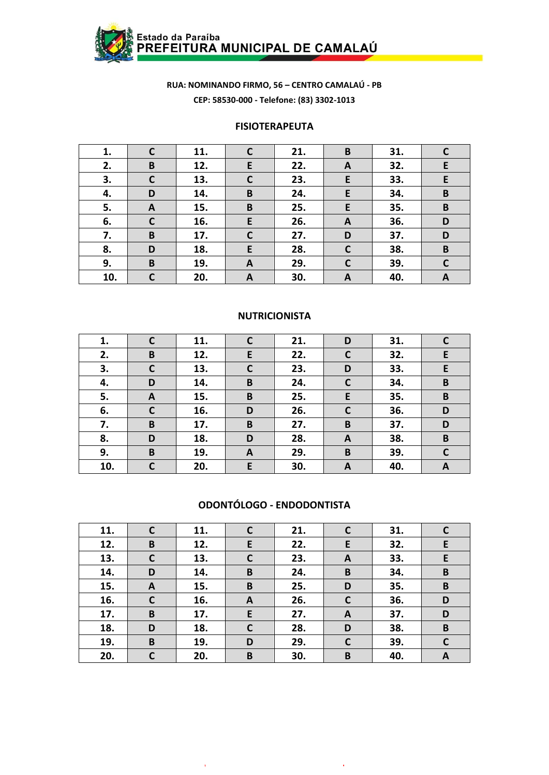

#### **FISIOTERAPEUTA**

| 1.  | $\mathsf{C}$ | 11. | C            | 21. | B                | 31. |             |
|-----|--------------|-----|--------------|-----|------------------|-----|-------------|
| 2.  | B            | 12. | E            | 22. | A                | 32. | E           |
| 3.  | $\mathbf C$  | 13. | $\mathbf C$  | 23. | E                | 33. | E           |
| 4.  | D            | 14. | B            | 24. | E                | 34. | B           |
| 5.  | A            | 15. | B            | 25. | E                | 35. | B           |
| 6.  | $\mathbf C$  | 16. | E            | 26. | $\boldsymbol{A}$ | 36. | D           |
| 7.  | B            | 17. | $\mathsf{C}$ | 27. | D                | 37. | D           |
| 8.  | D            | 18. | E            | 28. | $\mathsf{C}$     | 38. | B           |
| 9.  | B            | 19. | A            | 29. | $\mathsf{C}$     | 39. | $\mathbf c$ |
| 10. | C            | 20. | $\mathbf{A}$ | 30. | A                | 40. | A           |

#### **NUTRICIONISTA**

| 1.  |              | 11. | $\mathsf{C}$ | 21. | D            | 31. |   |
|-----|--------------|-----|--------------|-----|--------------|-----|---|
| 2.  | B            | 12. | E            | 22. | $\mathbf c$  | 32. | E |
| 3.  | $\mathsf{C}$ | 13. | $\mathbf C$  | 23. | D            | 33. | E |
| 4.  | D            | 14. | B            | 24. | $\mathsf{C}$ | 34. | B |
| 5.  | A            | 15. | B            | 25. | E            | 35. | B |
| 6.  | $\mathsf{C}$ | 16. | D            | 26. | $\mathsf{C}$ | 36. | D |
| 7.  | B            | 17. | B            | 27. | B            | 37. | D |
| 8.  | D            | 18. | D            | 28. | A            | 38. | B |
| 9.  | B            | 19. | A            | 29. | B            | 39. | C |
| 10. | C            | 20. | E            | 30. | A            | 40. | A |

#### ODONTÓLOGO - ENDODONTISTA

| 11. | $\mathsf{C}$ | 11. | $\mathsf{C}$ | 21. | C                | 31. | $\mathsf{C}$ |
|-----|--------------|-----|--------------|-----|------------------|-----|--------------|
| 12. | B            | 12. | E            | 22. | E                | 32. | E            |
| 13. | $\mathbf C$  | 13. | $\mathsf{C}$ | 23. | A                | 33. | E            |
| 14. | D            | 14. | B            | 24. | B                | 34. | B            |
| 15. | A            | 15. | B            | 25. | D                | 35. | B            |
| 16. | $\mathsf{C}$ | 16. | A            | 26. | C                | 36. | D            |
| 17. | B            | 17. | E            | 27. | $\boldsymbol{A}$ | 37. | D            |
| 18. | D            | 18. | $\mathsf{C}$ | 28. | D                | 38. | B            |
| 19. | B            | 19. | D            | 29. | C                | 39. | $\mathsf{C}$ |
| 20. | C            | 20. | B            | 30. | B                | 40. | A            |

 $\mathcal{A}^{\mathcal{A}}$ 

 $\lambda$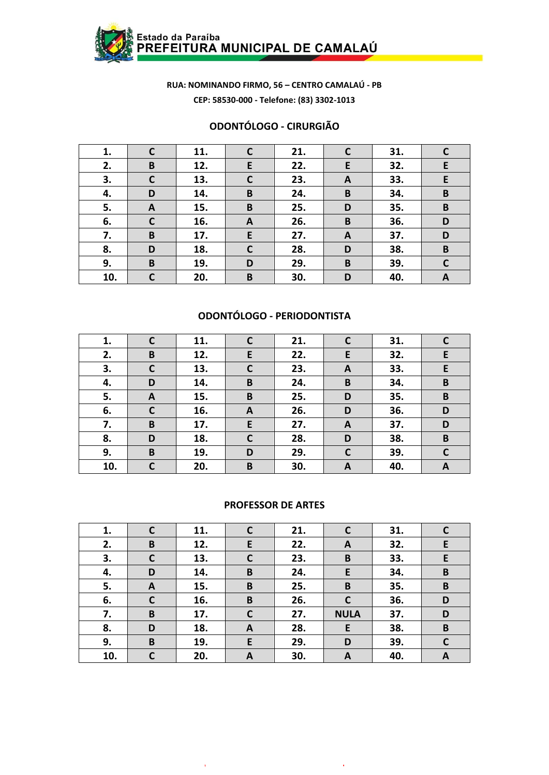

#### **ODONTÓLOGO - CIRURGIÃO**

| 1.  | $\mathsf{C}$ | 11. | $\mathbf c$  | 21. | C | 31. |             |
|-----|--------------|-----|--------------|-----|---|-----|-------------|
| 2.  | B            | 12. | E            | 22. | E | 32. | E           |
| 3.  | $\mathsf{C}$ | 13. | $\mathsf{C}$ | 23. | A | 33. | E           |
| 4.  | D            | 14. | B            | 24. | B | 34. | B           |
| 5.  | A            | 15. | B            | 25. | D | 35. | B           |
| 6.  | $\mathbf C$  | 16. | $\mathbf{A}$ | 26. | B | 36. | D           |
| 7.  | B            | 17. | E.           | 27. | A | 37. | D           |
| 8.  | D            | 18. | $\mathbf C$  | 28. | D | 38. | B           |
| 9.  | $\pmb B$     | 19. | D            | 29. | B | 39. | $\mathbf C$ |
| 10. | C            | 20. | B            | 30. | D | 40. | A           |

## **ODONTÓLOGO - PERIODONTISTA**

| 1.  |              | 11. | $\mathsf{C}$ | 21. |              | 31. |   |
|-----|--------------|-----|--------------|-----|--------------|-----|---|
| 2.  | B            | 12. | E            | 22. | E            | 32. | E |
| 3.  | $\mathsf{C}$ | 13. | $\mathbf C$  | 23. | A            | 33. | E |
| 4.  | D            | 14. | B            | 24. | B            | 34. | B |
| 5.  | A            | 15. | B            | 25. | D            | 35. | B |
| 6.  | $\mathsf{C}$ | 16. | A            | 26. | D            | 36. | D |
| 7.  | B            | 17. | E            | 27. | $\mathbf{A}$ | 37. | D |
| 8.  | D            | 18. | $\mathbf C$  | 28. | D            | 38. | B |
| 9.  | $\mathbf B$  | 19. | D            | 29. | $\mathbf c$  | 39. | C |
| 10. | C            | 20. | B            | 30. | A            | 40. | A |

#### **PROFESSOR DE ARTES**

| 1.  | C            | 11. | $\mathsf{C}$ | 21. | C           | 31. |              |
|-----|--------------|-----|--------------|-----|-------------|-----|--------------|
| 2.  | B            | 12. | E            | 22. | A           | 32. | E            |
| 3.  | $\mathsf{C}$ | 13. | $\mathbf C$  | 23. | B           | 33. | E            |
| 4.  | D            | 14. | B            | 24. | E           | 34. | B            |
| 5.  | A            | 15. | B            | 25. | B           | 35. | B            |
| 6.  | $\mathsf{C}$ | 16. | B            | 26. | C           | 36. | D            |
| 7.  | $\mathbf B$  | 17. | $\mathbf C$  | 27. | <b>NULA</b> | 37. | D            |
| 8.  | D            | 18. | A            | 28. | E           | 38. | $\mathbf B$  |
| 9.  | B            | 19. | E            | 29. | D           | 39. | $\mathsf{C}$ |
| 10. | C            | 20. | A            | 30. | A           | 40. | A            |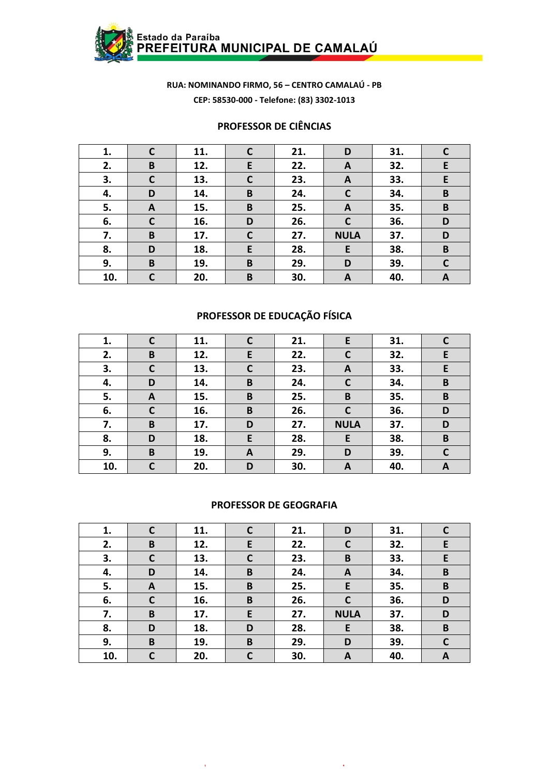

#### **PROFESSOR DE CIÊNCIAS**

| 1.  | С            | 11. | $\mathsf{C}$ | 21. | D            | 31. |              |
|-----|--------------|-----|--------------|-----|--------------|-----|--------------|
| 2.  | B            | 12. | E            | 22. | A            | 32. | E            |
| 3.  | $\mathsf{C}$ | 13. | $\mathsf{C}$ | 23. | A            | 33. | E            |
| 4.  | D            | 14. | B            | 24. | C            | 34. | B            |
| 5.  | A            | 15. | B            | 25. | A            | 35. | B            |
| 6.  | $\mathsf{C}$ | 16. | D            | 26. | $\mathsf{C}$ | 36. | D            |
| 7.  | B            | 17. | $\mathbf C$  | 27. | <b>NULA</b>  | 37. | D            |
| 8.  | D            | 18. | E            | 28. | E            | 38. | B            |
| 9.  | B            | 19. | B            | 29. | D            | 39. | $\mathsf{C}$ |
| 10. | C            | 20. | B            | 30. | A            | 40. | A            |

# **PROFESSOR DE EDUCAÇÃO FÍSICA**

| 1.  |              | 11. | $\mathbf C$ | 21. | E            | 31. |   |
|-----|--------------|-----|-------------|-----|--------------|-----|---|
| 2.  | B            | 12. | E           | 22. |              | 32. | E |
| 3.  | $\mathsf{C}$ | 13. | $\mathbf C$ | 23. | A            | 33. | E |
| 4.  | D            | 14. | B           | 24. | $\mathsf{C}$ | 34. | B |
| 5.  | A            | 15. | B           | 25. | B            | 35. | B |
| 6.  | $\mathsf{C}$ | 16. | B           | 26. | C            | 36. | D |
| 7.  | B            | 17. | D           | 27. | <b>NULA</b>  | 37. | D |
| 8.  | D            | 18. | E           | 28. | E            | 38. | B |
| 9.  | B            | 19. | A           | 29. | D            | 39. | C |
| 10. | r            | 20. | D           | 30. | A            | 40. | A |

#### **PROFESSOR DE GEOGRAFIA**

| 1.  | $\mathsf{C}$ | 11. | $\mathbf c$  | 21. | D           | 31. | C            |
|-----|--------------|-----|--------------|-----|-------------|-----|--------------|
| 2.  | B            | 12. | E            | 22. | C           | 32. | E            |
| 3.  | C            | 13. | $\mathsf{C}$ | 23. | B           | 33. | E            |
| 4.  | D            | 14. | B            | 24. | A           | 34. | $\, {\bf B}$ |
| 5.  | A            | 15. | B            | 25. | E           | 35. | B            |
| 6.  | C            | 16. | B            | 26. | C           | 36. | D            |
| 7.  | B            | 17. | E            | 27. | <b>NULA</b> | 37. | D            |
| 8.  | D            | 18. | D            | 28. | E           | 38. | B            |
| 9.  | B            | 19. | B            | 29. | D           | 39. | C            |
| 10. | C            | 20. | $\mathsf{C}$ | 30. | A           | 40. | A            |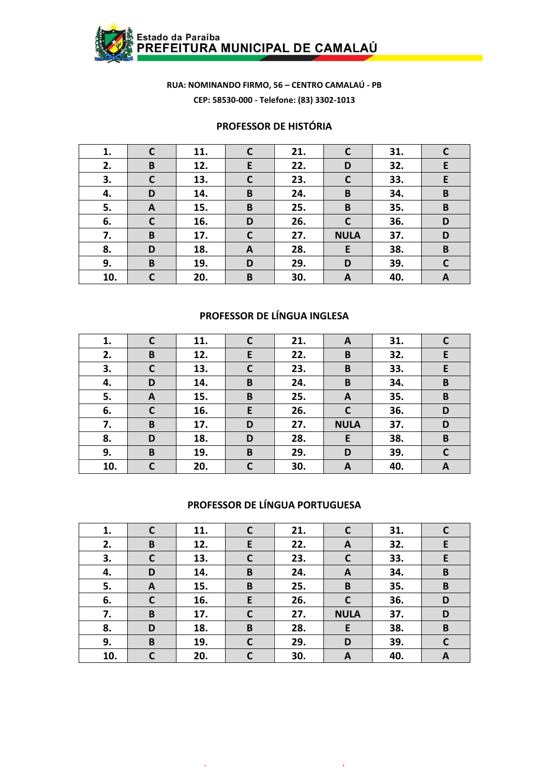

#### **PROFESSOR DE HISTÓRIA**

| 1.  | $\mathsf{C}$ | 11. | $\mathsf{C}$ | 21. | C            | 31. |              |
|-----|--------------|-----|--------------|-----|--------------|-----|--------------|
| 2.  | B            | 12. | E            | 22. | D            | 32. | E            |
| 3.  | $\mathsf{C}$ | 13. | $\mathsf{C}$ | 23. | $\mathsf{C}$ | 33. | E            |
| 4.  | D            | 14. | B            | 24. | B            | 34. | B            |
| 5.  | A            | 15. | B            | 25. | B            | 35. | B            |
| 6.  | $\mathsf{C}$ | 16. | D            | 26. | $\mathsf{C}$ | 36. | D            |
| 7.  | B            | 17. | $\mathbf C$  | 27. | <b>NULA</b>  | 37. | D            |
| 8.  | D            | 18. | A            | 28. | E            | 38. | B            |
| 9.  | B            | 19. | D            | 29. | D            | 39. | $\mathsf{C}$ |
| 10. | C            | 20. | B            | 30. | A            | 40. | A            |

# **PROFESSOR DE LÍNGUA INGLESA**

| 1.  | $\mathsf{C}$ | 11. | $\mathsf{C}$ | 21. | A            | 31. | C  |
|-----|--------------|-----|--------------|-----|--------------|-----|----|
| 2.  | B            | 12. | E            | 22. | B            | 32. | E  |
| 3.  | $\mathbf c$  | 13. | $\mathbf C$  | 23. | B            | 33. | E. |
| 4.  | D            | 14. | B            | 24. | B            | 34. | B  |
| 5.  | A            | 15. | B            | 25. | A            | 35. | B  |
| 6.  | $\mathsf{C}$ | 16. | E            | 26. | $\mathsf{C}$ | 36. | D  |
| 7.  | B            | 17. | D            | 27. | <b>NULA</b>  | 37. | D  |
| 8.  | D            | 18. | D            | 28. | E            | 38. | B  |
| 9.  | B            | 19. | B            | 29. | D            | 39. | C  |
| 10. | C            | 20. | $\mathsf{C}$ | 30. | A            | 40. | A  |

#### **PROFESSOR DE LÍNGUA PORTUGUESA**

| 1.  | C            | 11. | $\mathsf{C}$ | 21. |                  | 31. |   |
|-----|--------------|-----|--------------|-----|------------------|-----|---|
| 2.  | B            | 12. | E            | 22. | A                | 32. | E |
| 3.  | $\mathsf{C}$ | 13. | C            | 23. | C                | 33. | E |
| 4.  | D            | 14. | B            | 24. | $\boldsymbol{A}$ | 34. | B |
| 5.  | A            | 15. | B            | 25. | B                | 35. | B |
| 6.  | C            | 16. | E            | 26. | C                | 36. | D |
| 7.  | B            | 17. | $\mathsf{C}$ | 27. | <b>NULA</b>      | 37. | D |
| 8.  | D            | 18. | B            | 28. | E                | 38. | B |
| 9.  | B            | 19. | C            | 29. | D                | 39. | C |
| 10. | C            | 20. | C            | 30. | A                | 40. | A |